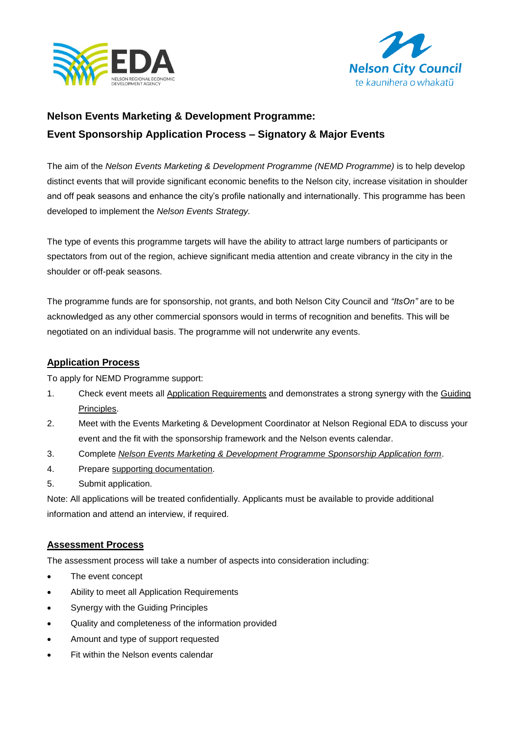



# **Nelson Events Marketing & Development Programme: Event Sponsorship Application Process – Signatory & Major Events**

The aim of the *Nelson Events Marketing & Development Programme (NEMD Programme)* is to help develop distinct events that will provide significant economic benefits to the Nelson city, increase visitation in shoulder and off peak seasons and enhance the city's profile nationally and internationally. This programme has been developed to implement the *Nelson Events Strategy.*

The type of events this programme targets will have the ability to attract large numbers of participants or spectators from out of the region, achieve significant media attention and create vibrancy in the city in the shoulder or off-peak seasons.

The programme funds are for sponsorship, not grants, and both Nelson City Council and *"ItsOn"* are to be acknowledged as any other commercial sponsors would in terms of recognition and benefits. This will be negotiated on an individual basis. The programme will not underwrite any events.

## **Application Process**

To apply for NEMD Programme support:

- 1. Check event meets all Application Requirements and demonstrates a strong synergy with the Guiding Principles.
- 2. Meet with the Events Marketing & Development Coordinator at Nelson Regional EDA to discuss your event and the fit with the sponsorship framework and the Nelson events calendar.
- 3. Complete *Nelson Events Marketing & Development Programme Sponsorship Application form*.
- 4. Prepare supporting documentation.
- 5. Submit application.

Note: All applications will be treated confidentially. Applicants must be available to provide additional information and attend an interview, if required.

#### **Assessment Process**

The assessment process will take a number of aspects into consideration including:

- The event concept
- Ability to meet all Application Requirements
- Synergy with the Guiding Principles
- Quality and completeness of the information provided
- Amount and type of support requested
- Fit within the Nelson events calendar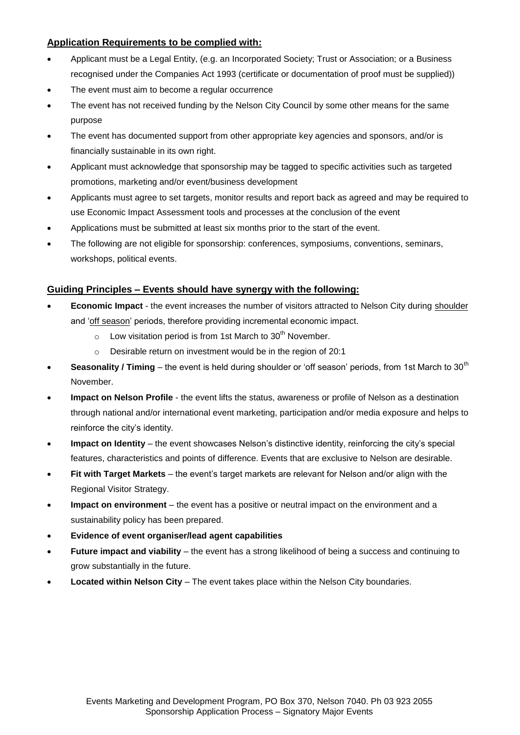## **Application Requirements to be complied with:**

- Applicant must be a Legal Entity, (e.g. an Incorporated Society; Trust or Association; or a Business recognised under the Companies Act 1993 (certificate or documentation of proof must be supplied))
- The event must aim to become a regular occurrence
- The event has not received funding by the Nelson City Council by some other means for the same purpose
- The event has documented support from other appropriate key agencies and sponsors, and/or is financially sustainable in its own right.
- Applicant must acknowledge that sponsorship may be tagged to specific activities such as targeted promotions, marketing and/or event/business development
- Applicants must agree to set targets, monitor results and report back as agreed and may be required to use Economic Impact Assessment tools and processes at the conclusion of the event
- Applications must be submitted at least six months prior to the start of the event.
- The following are not eligible for sponsorship: conferences, symposiums, conventions, seminars, workshops, political events.

#### **Guiding Principles – Events should have synergy with the following:**

- **Economic Impact**  the event increases the number of visitors attracted to Nelson City during shoulder and 'off season' periods, therefore providing incremental economic impact.
	- $\circ$  Low visitation period is from 1st March to 30<sup>th</sup> November.
	- o Desirable return on investment would be in the region of 20:1
- **Seasonality / Timing** the event is held during shoulder or 'off season' periods, from 1st March to 30<sup>th</sup> November.
- **Impact on Nelson Profile**  the event lifts the status, awareness or profile of Nelson as a destination through national and/or international event marketing, participation and/or media exposure and helps to reinforce the city's identity.
- **Impact on Identity** the event showcases Nelson's distinctive identity, reinforcing the city's special features, characteristics and points of difference. Events that are exclusive to Nelson are desirable.
- **Fit with Target Markets** the event's target markets are relevant for Nelson and/or align with the Regional Visitor Strategy.
- **Impact on environment** the event has a positive or neutral impact on the environment and a sustainability policy has been prepared.
- **Evidence of event organiser/lead agent capabilities**
- **Future impact and viability** the event has a strong likelihood of being a success and continuing to grow substantially in the future.
- **Located within Nelson City** The event takes place within the Nelson City boundaries.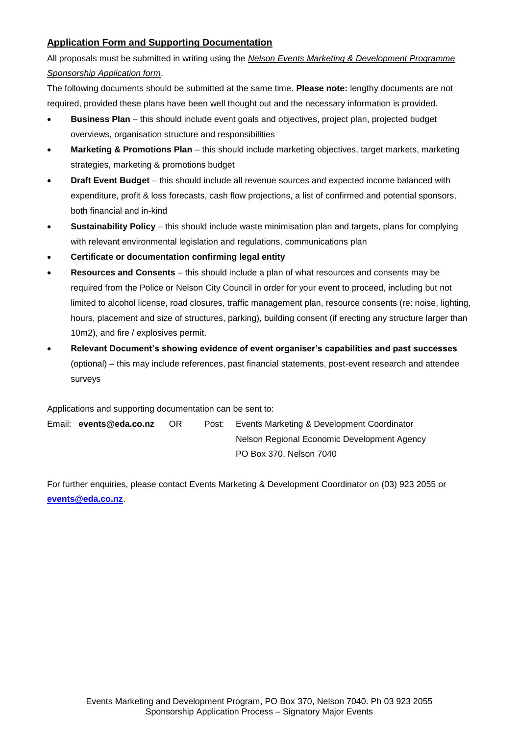# **Application Form and Supporting Documentation**

All proposals must be submitted in writing using the *Nelson Events Marketing & Development Programme Sponsorship Application form*.

The following documents should be submitted at the same time. **Please note:** lengthy documents are not required, provided these plans have been well thought out and the necessary information is provided.

- **Business Plan** this should include event goals and objectives, project plan, projected budget overviews, organisation structure and responsibilities
- Marketing & Promotions Plan this should include marketing objectives, target markets, marketing strategies, marketing & promotions budget
- **Draft Event Budget** this should include all revenue sources and expected income balanced with expenditure, profit & loss forecasts, cash flow projections, a list of confirmed and potential sponsors, both financial and in-kind
- **Sustainability Policy** this should include waste minimisation plan and targets, plans for complying with relevant environmental legislation and regulations, communications plan
- **Certificate or documentation confirming legal entity**
- **Resources and Consents**  this should include a plan of what resources and consents may be required from the Police or Nelson City Council in order for your event to proceed, including but not limited to alcohol license, road closures, traffic management plan, resource consents (re: noise, lighting, hours, placement and size of structures, parking), building consent (if erecting any structure larger than 10m2), and fire / explosives permit.
- **Relevant Document's showing evidence of event organiser's capabilities and past successes** (optional) – this may include references, past financial statements, post-event research and attendee surveys

Applications and supporting documentation can be sent to:

Email: **events@eda.co.nz** OR Post: Events Marketing & Development Coordinator Nelson Regional Economic Development Agency PO Box 370, Nelson 7040

For further enquiries, please contact Events Marketing & Development Coordinator on (03) 923 2055 or **[events@eda.co.nz](mailto:events@eda.co.nz)**.